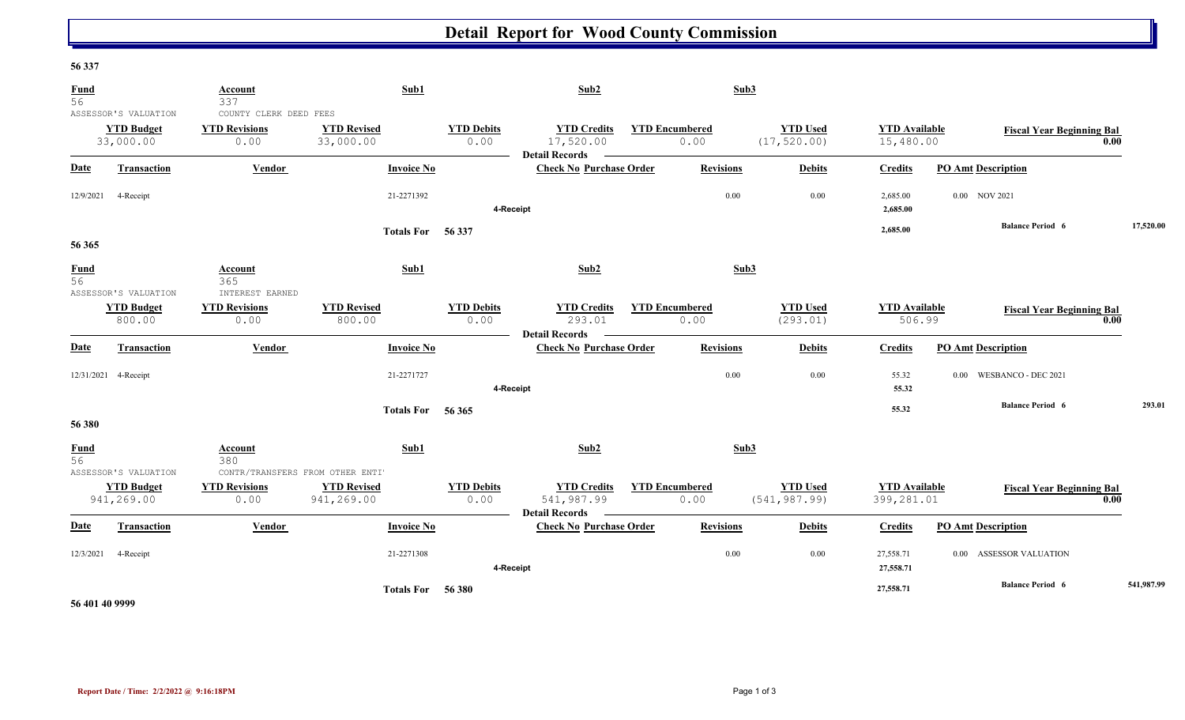## **Detail Report for Wood County Commission**

## **56 337**

| <b>Fund</b><br>56 |                                                        | Account<br>337                                         | Sub1                             |                           | Sub2                                                      |                               | Sub3             |                                  |                                    |                                   |      |            |
|-------------------|--------------------------------------------------------|--------------------------------------------------------|----------------------------------|---------------------------|-----------------------------------------------------------|-------------------------------|------------------|----------------------------------|------------------------------------|-----------------------------------|------|------------|
|                   | ASSESSOR'S VALUATION<br><b>YTD Budget</b><br>33,000.00 | COUNTY CLERK DEED FEES<br><b>YTD Revisions</b><br>0.00 | <b>YTD Revised</b><br>33,000.00  | <b>YTD Debits</b><br>0.00 | <b>YTD Credits</b><br>17,520.00<br><b>Detail Records</b>  | <b>YTD Encumbered</b><br>0.00 |                  | <b>YTD Used</b><br>(17, 520.00)  | <b>YTD</b> Available<br>15,480.00  | <b>Fiscal Year Beginning Bal</b>  | 0.00 |            |
| <b>Date</b>       | <b>Transaction</b>                                     | Vendor                                                 | <b>Invoice No</b>                |                           | <b>Check No Purchase Order</b>                            |                               | <b>Revisions</b> | <b>Debits</b>                    | <b>Credits</b>                     | <b>PO Amt Description</b>         |      |            |
| 12/9/2021         | 4-Receipt                                              |                                                        | 21-2271392                       | 4-Receipt                 |                                                           |                               | 0.00             | 0.00                             | 2,685.00<br>2,685.00               | 0.00 NOV 2021                     |      |            |
| 56 365            |                                                        |                                                        | Totals For 56 337                |                           |                                                           |                               |                  |                                  | 2,685.00                           | <b>Balance Period 6</b>           |      | 17,520.00  |
| $\frac{Fund}{56}$ | ASSESSOR'S VALUATION                                   | Account<br>365<br>INTEREST EARNED                      | Sub1                             |                           | Sub2                                                      |                               | Sub3             |                                  |                                    |                                   |      |            |
|                   | <b>YTD Budget</b><br>800.00                            | <b>YTD Revisions</b><br>0.00                           | <b>YTD Revised</b><br>800.00     | <b>YTD Debits</b><br>0.00 | <b>YTD Credits</b><br>293.01<br><b>Detail Records</b>     | <b>YTD Encumbered</b><br>0.00 |                  | <b>YTD Used</b><br>(293.01)      | <b>YTD</b> Available<br>506.99     | <b>Fiscal Year Beginning Bal</b>  | 0.00 |            |
| <b>Date</b>       | Transaction                                            | <b>Vendor</b>                                          | <b>Invoice No</b>                |                           | <b>Check No Purchase Order</b>                            |                               | <b>Revisions</b> | <b>Debits</b>                    | <b>Credits</b>                     | <b>PO Amt Description</b>         |      |            |
|                   | 12/31/2021 4-Receipt                                   |                                                        | 21-2271727                       | 4-Receipt                 |                                                           |                               | 0.00             | 0.00                             | 55.32<br>55.32                     | WESBANCO - DEC 2021<br>0.00       |      |            |
| 56 380            |                                                        |                                                        | Totals For 56 365                |                           |                                                           |                               |                  |                                  | 55.32                              | <b>Balance Period 6</b>           |      | 293.01     |
| <b>Fund</b><br>56 | ASSESSOR'S VALUATION                                   | Account<br>380<br>CONTR/TRANSFERS FROM OTHER ENTI'     | Sub1                             |                           | Sub2                                                      |                               | Sub3             |                                  |                                    |                                   |      |            |
|                   | <b>YTD Budget</b><br>941,269.00                        | <b>YTD Revisions</b><br>0.00                           | <b>YTD Revised</b><br>941,269.00 | <b>YTD Debits</b><br>0.00 | <b>YTD Credits</b><br>541,987.99<br><b>Detail Records</b> | <b>YTD Encumbered</b><br>0.00 |                  | <b>YTD Used</b><br>(541, 987.99) | <b>YTD</b> Available<br>399,281.01 | <b>Fiscal Year Beginning Bal</b>  | 0.00 |            |
| <b>Date</b>       | <b>Transaction</b>                                     | Vendor                                                 | <b>Invoice No</b>                |                           | <b>Check No Purchase Order</b>                            |                               | <b>Revisions</b> | <b>Debits</b>                    | <b>Credits</b>                     | <b>PO Amt Description</b>         |      |            |
| 12/3/2021         | 4-Receipt                                              |                                                        | 21-2271308                       | 4-Receipt                 |                                                           |                               | 0.00             | 0.00                             | 27,558.71<br>27,558.71             | <b>ASSESSOR VALUATION</b><br>0.00 |      |            |
|                   |                                                        |                                                        | Totals For 56 380                |                           |                                                           |                               |                  |                                  | 27,558.71                          | <b>Balance Period 6</b>           |      | 541,987.99 |

**56 401 40 9999**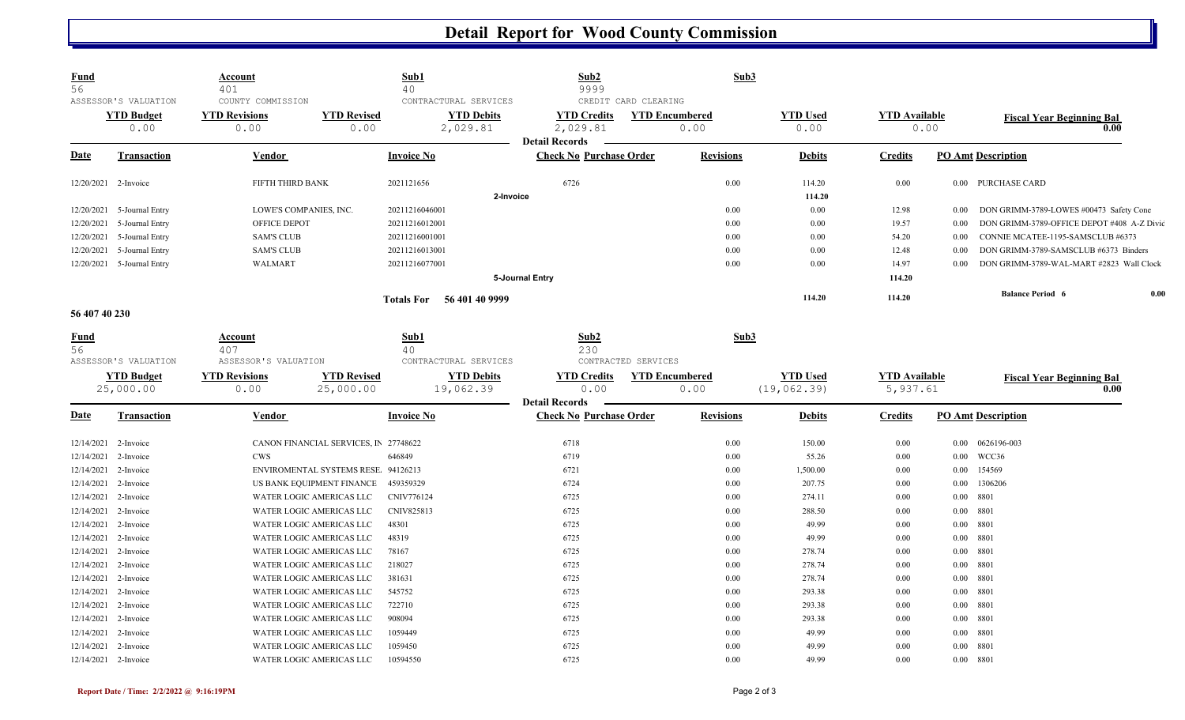## **Detail Report for Wood County Commission**

| <b>Fund</b><br>56    |                            | Account<br>401                         |                                       | Sub1<br>40                          | Sub2<br>9999                                            | Sub3                  |                 |                      |                                                     |      |
|----------------------|----------------------------|----------------------------------------|---------------------------------------|-------------------------------------|---------------------------------------------------------|-----------------------|-----------------|----------------------|-----------------------------------------------------|------|
|                      | ASSESSOR'S VALUATION       | COUNTY COMMISSION                      |                                       | CONTRACTURAL SERVICES               | CREDIT CARD CLEARING                                    |                       |                 |                      |                                                     |      |
|                      | <b>YTD Budget</b>          | <b>YTD Revisions</b>                   | <b>YTD Revised</b>                    | <b>YTD Debits</b>                   | <b>YTD Credits</b>                                      | <b>YTD Encumbered</b> | <b>YTD Used</b> | <b>YTD Available</b> | <b>Fiscal Year Beginning Bal</b>                    |      |
|                      | 0.00                       | 0.00                                   | 0.00                                  | 2,029.81                            | 2,029.81<br><b>Detail Records</b>                       | 0.00                  | 0.00            | 0.00                 |                                                     | 0.00 |
| <b>Date</b>          | <b>Transaction</b>         | Vendor                                 |                                       | <b>Invoice No</b>                   | <b>Check No Purchase Order</b>                          | <b>Revisions</b>      | <b>Debits</b>   | <b>Credits</b>       | <b>PO Amt Description</b>                           |      |
| 12/20/2021 2-Invoice |                            | FIFTH THIRD BANK                       |                                       | 2021121656                          | 6726                                                    | 0.00                  | 114.20          | 0.00                 | 0.00 PURCHASE CARD                                  |      |
|                      |                            |                                        |                                       | 2-Invoice                           |                                                         |                       | 114.20          |                      |                                                     |      |
| 12/20/2021           | 5-Journal Entry            | LOWE'S COMPANIES, INC.                 |                                       | 20211216046001                      |                                                         | 0.00                  | 0.00            | 12.98                | DON GRIMM-3789-LOWES #00473 Safety Cone<br>$0.00\,$ |      |
| 12/20/2021           | 5-Journal Entry            | OFFICE DEPOT                           |                                       | 20211216012001                      |                                                         | 0.00                  | 0.00            | 19.57                | 0.00<br>DON GRIMM-3789-OFFICE DEPOT #408 A-Z Divid  |      |
| 12/20/2021           | 5-Journal Entry            | <b>SAM'S CLUB</b>                      |                                       | 20211216001001                      |                                                         | 0.00                  | 0.00            | 54.20                | 0.00<br>CONNIE MCATEE-1195-SAMSCLUB #6373           |      |
| 12/20/2021           | 5-Journal Entry            | <b>SAM'S CLUB</b>                      |                                       | 20211216013001                      |                                                         | 0.00                  | 0.00            | 12.48                | DON GRIMM-3789-SAMSCLUB #6373 Binders<br>0.00       |      |
|                      | 12/20/2021 5-Journal Entry | <b>WALMART</b>                         |                                       | 20211216077001                      |                                                         | 0.00                  | 0.00            | 14.97                | 0.00<br>DON GRIMM-3789-WAL-MART #2823 Wall Clock    |      |
|                      |                            |                                        |                                       |                                     | 5-Journal Entry                                         |                       |                 | 114.20               |                                                     |      |
|                      |                            |                                        |                                       | Totals For 56 401 40 9999           |                                                         |                       | 114.20          | 114.20               | <b>Balance Period 6</b>                             | 0.00 |
| 56 407 40 230        |                            |                                        |                                       |                                     |                                                         |                       |                 |                      |                                                     |      |
| Fund<br>56           | ASSESSOR'S VALUATION       | Account<br>407<br>ASSESSOR'S VALUATION |                                       | Sub1<br>40<br>CONTRACTURAL SERVICES | Sub2<br>230<br>CONTRACTED SERVICES                      | Sub3                  |                 |                      |                                                     |      |
|                      | <b>YTD Budget</b>          | <b>YTD Revisions</b>                   | <b>YTD Revised</b>                    | <b>YTD Debits</b>                   | <b>YTD Credits</b>                                      | <b>YTD Encumbered</b> | <b>YTD Used</b> | <b>YTD</b> Available | <b>Fiscal Year Beginning Bal</b>                    |      |
|                      | 25,000.00                  | 0.00                                   | 25,000.00                             | 19,062.39                           | 0.00                                                    | 0.00                  | (19, 062.39)    | 5,937.61             |                                                     | 0.00 |
|                      |                            |                                        |                                       |                                     |                                                         |                       |                 |                      |                                                     |      |
| <b>Date</b>          | <b>Transaction</b>         | <b>Vendor</b>                          |                                       | <b>Invoice No</b>                   | <b>Detail Records</b><br><b>Check No Purchase Order</b> | <b>Revisions</b>      | <b>Debits</b>   | <b>Credits</b>       | <b>PO Amt Description</b>                           |      |
| 12/14/2021           | 2-Invoice                  |                                        | CANON FINANCIAL SERVICES, IN 27748622 |                                     | 6718                                                    | 0.00                  | 150.00          | 0.00                 | 0.00  0626196-003                                   |      |
| 12/14/2021           | 2-Invoice                  | <b>CWS</b>                             |                                       | 646849                              | 6719                                                    | 0.00                  | 55.26           | 0.00                 | WCC36<br>0.00                                       |      |
| 12/14/2021           | 2-Invoice                  |                                        | ENVIROMENTAL SYSTEMS RESE 94126213    |                                     | 6721                                                    | 0.00                  | 1,500.00        | 0.00                 | 154569<br>$0.00\,$                                  |      |
| 12/14/2021           | 2-Invoice                  |                                        | US BANK EQUIPMENT FINANCE             | 459359329                           | 6724                                                    | 0.00                  | 207.75          | 0.00                 | 1306206<br>$0.00\,$                                 |      |
| 12/14/2021           | 2-Invoice                  | WATER LOGIC AMERICAS LLC               |                                       | CNIV776124                          | 6725                                                    | 0.00                  | 274.11          | 0.00                 | $0.00$ 8801                                         |      |
| 12/14/2021           | 2-Invoice                  | WATER LOGIC AMERICAS LLC               |                                       | CNIV825813                          | 6725                                                    | 0.00                  | 288.50          | 0.00                 | 0.00 8801                                           |      |
| 12/14/2021           | 2-Invoice                  | WATER LOGIC AMERICAS LLC               |                                       | 48301                               | 6725                                                    | 0.00                  | 49.99           | 0.00                 | $0.00$ 8801                                         |      |
| 12/14/2021           | 2-Invoice                  | WATER LOGIC AMERICAS LLC               |                                       | 48319                               | 6725                                                    | 0.00                  | 49.99           | 0.00                 | $0.00$ 8801                                         |      |
| 12/14/2021           | 2-Invoice                  | WATER LOGIC AMERICAS LLC               |                                       | 78167                               | 6725                                                    | 0.00                  | 278.74          | 0.00                 | $0.00$ 8801                                         |      |
| 12/14/2021           | 2-Invoice                  | WATER LOGIC AMERICAS LLC               |                                       | 218027                              | 6725                                                    | 0.00                  | 278.74          | 0.00                 | $0.00$ 8801                                         |      |
| 12/14/2021           | 2-Invoice                  | WATER LOGIC AMERICAS LLC               |                                       | 381631                              | 6725                                                    | 0.00                  | 278.74          | 0.00                 | $0.00\phantom{00}\phantom{00}8801$                  |      |
| 12/14/2021           | 2-Invoice                  | WATER LOGIC AMERICAS LLC               |                                       | 545752                              | 6725                                                    | 0.00                  | 293.38          | 0.00                 | $0.00$ 8801                                         |      |
| 12/14/2021           | 2-Invoice                  | WATER LOGIC AMERICAS LLC               |                                       | 722710                              | 6725                                                    | 0.00                  | 293.38          | 0.00                 | $0.00$ 8801                                         |      |
| 12/14/2021           | 2-Invoice                  | WATER LOGIC AMERICAS LLC               |                                       | 908094                              | 6725                                                    | 0.00                  | 293.38          | 0.00                 | $0.00$ 8801                                         |      |
| 12/14/2021           | 2-Invoice                  | WATER LOGIC AMERICAS LLC               |                                       | 1059449                             | 6725                                                    | 0.00                  | 49.99           | 0.00                 | $0.00$ 8801                                         |      |
| 12/14/2021           | 2-Invoice                  | WATER LOGIC AMERICAS LLC               |                                       | 1059450                             | 6725                                                    | 0.00                  | 49.99           | 0.00                 | $0.00$ 8801                                         |      |